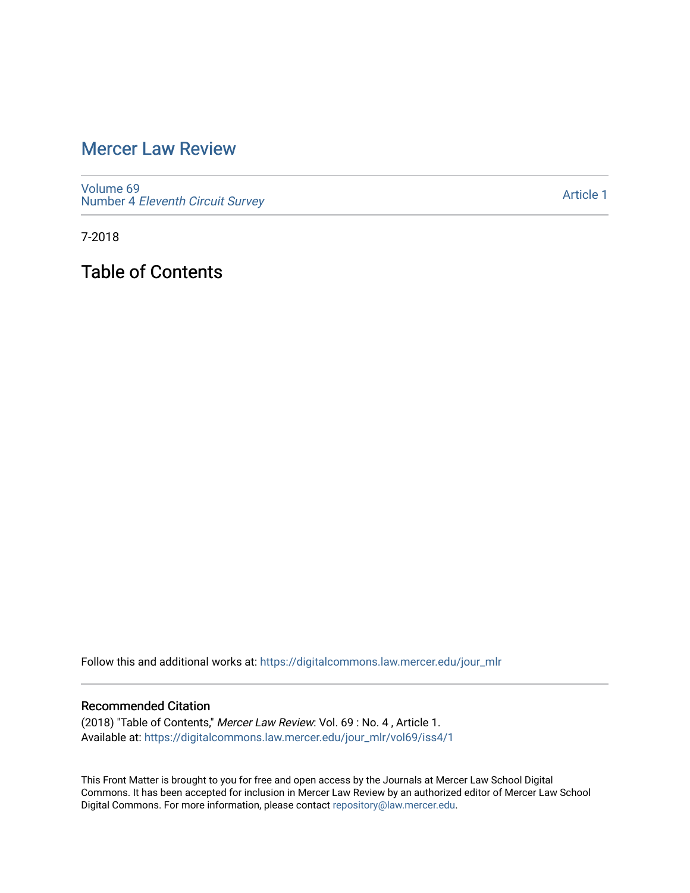## [Mercer Law Review](https://digitalcommons.law.mercer.edu/jour_mlr)

[Volume 69](https://digitalcommons.law.mercer.edu/jour_mlr/vol69) Number 4 [Eleventh Circuit Survey](https://digitalcommons.law.mercer.edu/jour_mlr/vol69/iss4) 

[Article 1](https://digitalcommons.law.mercer.edu/jour_mlr/vol69/iss4/1) 

7-2018

Table of Contents

Follow this and additional works at: [https://digitalcommons.law.mercer.edu/jour\\_mlr](https://digitalcommons.law.mercer.edu/jour_mlr?utm_source=digitalcommons.law.mercer.edu%2Fjour_mlr%2Fvol69%2Fiss4%2F1&utm_medium=PDF&utm_campaign=PDFCoverPages)

#### Recommended Citation

(2018) "Table of Contents," Mercer Law Review: Vol. 69 : No. 4 , Article 1. Available at: [https://digitalcommons.law.mercer.edu/jour\\_mlr/vol69/iss4/1](https://digitalcommons.law.mercer.edu/jour_mlr/vol69/iss4/1?utm_source=digitalcommons.law.mercer.edu%2Fjour_mlr%2Fvol69%2Fiss4%2F1&utm_medium=PDF&utm_campaign=PDFCoverPages)

This Front Matter is brought to you for free and open access by the Journals at Mercer Law School Digital Commons. It has been accepted for inclusion in Mercer Law Review by an authorized editor of Mercer Law School Digital Commons. For more information, please contact [repository@law.mercer.edu](mailto:repository@law.mercer.edu).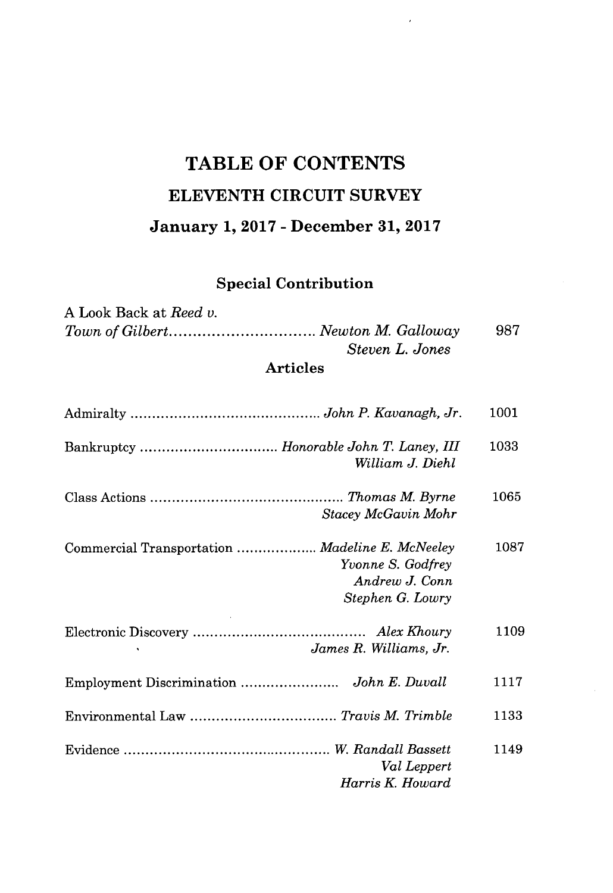# **TABLE OF CONTENTS ELEVENTH CIRCUIT SURVEY January 1, 2017 - December 31, 2017**

 $\overline{\phantom{a}}$ 

### **Special Contribution**

| A Look Back at <i>Reed v</i> . |                 |     |
|--------------------------------|-----------------|-----|
|                                |                 | 987 |
|                                | Steven L. Jones |     |
|                                | <b>Articles</b> |     |

|                                                                                                            | 1001 |
|------------------------------------------------------------------------------------------------------------|------|
| Bankruptcy  Honorable John T. Laney, III<br>William J. Diehl                                               | 1033 |
| Stacey McGavin Mohr                                                                                        | 1065 |
| Commercial Transportation  Madeline E. McNeeley<br>Yvonne S. Godfrey<br>Andrew J. Conn<br>Stephen G. Lowry | 1087 |
| James R. Williams, Jr.                                                                                     | 1109 |
| Employment Discrimination  John E. Duvall                                                                  | 1117 |
|                                                                                                            | 1133 |
| Val Leppert<br>Harris K. Howard                                                                            | 1149 |